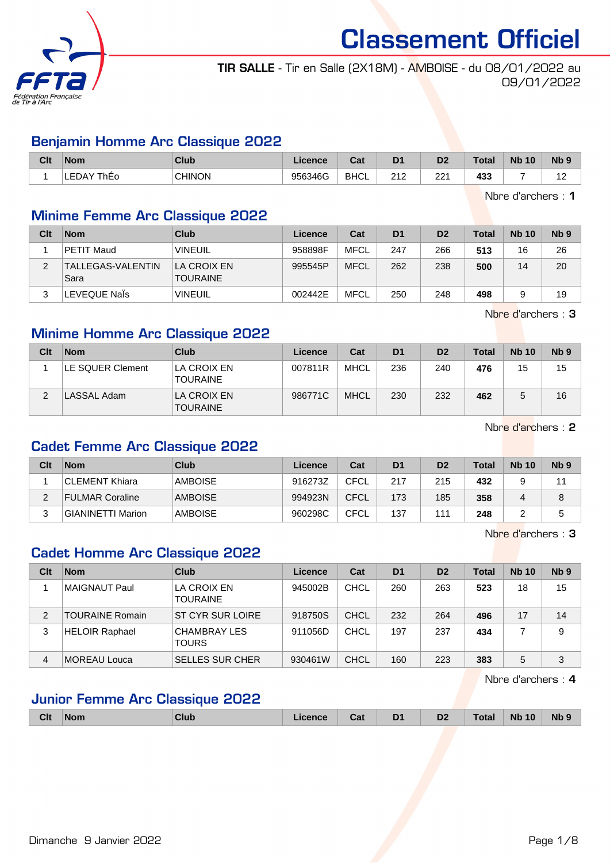

TIR SALLE - Tir en Salle (2X18M) - AMBOISE - du 08/01/2022 au 09/01/2022

#### Benjamin Homme Arc Classique 2022

| Clt | <b>Nom</b>           | <b>Club</b>   | Licence | $T - 1$<br>uai | D <sub>1</sub> | n <sub>o</sub><br>ש | Total | <b>Nb</b><br>10 | N <sub>b</sub> <sub>9</sub>        |
|-----|----------------------|---------------|---------|----------------|----------------|---------------------|-------|-----------------|------------------------------------|
|     | <b>LEDAY</b><br>ThEo | <b>CHINON</b> | 956346G | <b>BHCL</b>    | 242<br>2 I Z   | 22′                 | 433   |                 | $\sim$<br>$\overline{\phantom{0}}$ |

Nbre d'archers : 1

#### Minime Femme Arc Classique 2022

| Clt    | <b>Nom</b>                | Club                           | Licence | Cat         | D <sub>1</sub> | D <sub>2</sub> | Total | <b>Nb 10</b> | Nb <sub>9</sub> |
|--------|---------------------------|--------------------------------|---------|-------------|----------------|----------------|-------|--------------|-----------------|
|        | <b>PETIT Maud</b>         | <b>VINEUIL</b>                 | 958898F | MFCL        | 247            | 266            | 513   | 16           | 26              |
|        | TALLEGAS-VALENTIN<br>Sara | LA CROIX EN<br><b>TOURAINE</b> | 995545P | <b>MFCL</b> | 262            | 238            | 500   | 14           | 20              |
| າ<br>J | LEVEQUE Nals              | <b>VINEUIL</b>                 | 002442E | MFCL        | 250            | 248            | 498   |              | 19              |

Nbre d'archers : 3

#### Minime Homme Arc Classique 2022

| Clt | <b>Nom</b>       | Club                           | Licence | Cat         | D <sub>1</sub> | D <sub>2</sub> | <b>Total</b> | <b>Nb 10</b> | Nb <sub>9</sub> |
|-----|------------------|--------------------------------|---------|-------------|----------------|----------------|--------------|--------------|-----------------|
|     | LE SQUER Clement | LA CROIX EN<br><b>TOURAINE</b> | 007811R | <b>MHCL</b> | 236            | 240            | 476          | 15           | 15              |
| ົ   | LASSAL Adam      | LA CROIX EN<br><b>TOURAINE</b> | 986771C | <b>MHCL</b> | 230            | 232            | 462          |              | 16              |

Nbre d'archers : 2

#### Cadet Femme Arc Classique 2022

| Clt | <b>Nom</b>               | Club           | Licence | Cat         | D <sub>1</sub> | D <sub>2</sub> | Total | <b>Nb 10</b> | N <sub>b</sub> 9 |
|-----|--------------------------|----------------|---------|-------------|----------------|----------------|-------|--------------|------------------|
|     | CLEMENT Khiara           | AMBOISE        | 916273Z | CFCL        | 217            | 215            | 432   |              | 11               |
|     | FULMAR Coraline          | <b>AMBOISE</b> | 994923N | <b>CFCL</b> | 173            | 185            | 358   |              | 8                |
|     | <b>GIANINETTI Marion</b> | AMBOISE        | 960298C | <b>CFCL</b> | 137            | 111            | 248   |              |                  |

Nbre d'archers : 3

#### Cadet Homme Arc Classique 2022

| Clt | <b>Nom</b>             | Club                                | Licence | Cat         | D <sub>1</sub> | D <sub>2</sub> | Total | <b>Nb 10</b> | N <sub>b</sub> <sub>9</sub> |
|-----|------------------------|-------------------------------------|---------|-------------|----------------|----------------|-------|--------------|-----------------------------|
|     | MAIGNAUT Paul          | LA CROIX EN<br><b>TOURAINE</b>      | 945002B | CHCL        | 260            | 263            | 523   | 18           | 15                          |
| 2   | <b>TOURAINE Romain</b> | ST CYR SUR LOIRE                    | 918750S | <b>CHCL</b> | 232            | 264            | 496   | 17           | 14                          |
| 3   | <b>HELOIR Raphael</b>  | <b>CHAMBRAY LES</b><br><b>TOURS</b> | 911056D | CHCL        | 197            | 237            | 434   |              | 9                           |
| 4   | <b>MOREAU Louca</b>    | <b>SELLES SUR CHER</b>              | 930461W | <b>CHCL</b> | 160            | 223            | 383   | 5            | 3                           |

Nbre d'archers : 4

#### Junior Femme Arc Classique 2022

| <b>Clt</b> | <b>Nom</b> | Club | <b>Licence</b> | udi. | D <sub>1</sub><br>- - | D <sub>2</sub> | <b>Total</b> | <b>Nb 10</b> | <b>Nb</b> |
|------------|------------|------|----------------|------|-----------------------|----------------|--------------|--------------|-----------|
|            |            |      |                |      |                       |                |              |              |           |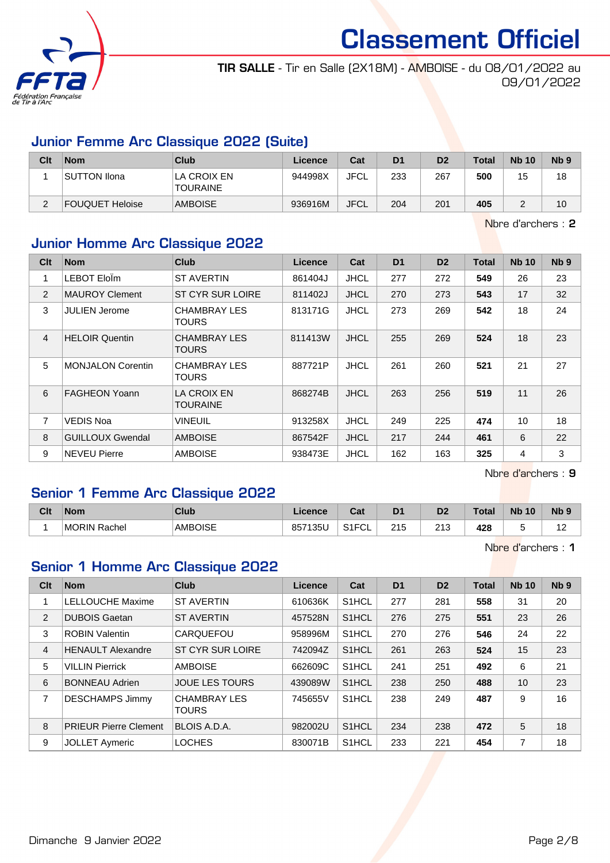

TIR SALLE - Tir en Salle (2X18M) - AMBOISE - du 08/01/2022 au 09/01/2022

#### Junior Femme Arc Classique 2022 (Suite)

| Clt | <b>Nom</b>             | Club                           | Licence | Cat         | D <sub>1</sub> | D <sub>2</sub> | <b>Total</b> | <b>Nb 10</b> | N <sub>b</sub> <sub>9</sub> |
|-----|------------------------|--------------------------------|---------|-------------|----------------|----------------|--------------|--------------|-----------------------------|
|     | <b>SUTTON Ilona</b>    | LA CROIX EN<br><b>TOURAINE</b> | 944998X | <b>JFCL</b> | 233            | 267            | 500          | 15           | 18                          |
| C   | <b>FOUQUET Heloise</b> | <b>AMBOISE</b>                 | 936916M | <b>JFCL</b> | 204            | 201            | 405          |              | 10 <sup>°</sup>             |

Nbre d'archers : 2

#### Junior Homme Arc Classique 2022

| Clt            | <b>Nom</b>               | <b>Club</b>                  | <b>Licence</b> | Cat         | D <sub>1</sub> | D <sub>2</sub> | <b>Total</b> | <b>Nb 10</b> | Nb <sub>9</sub> |
|----------------|--------------------------|------------------------------|----------------|-------------|----------------|----------------|--------------|--------------|-----------------|
| 1              | LEBOT EloÏm              | <b>ST AVERTIN</b>            | 861404J        | <b>JHCL</b> | 277            | 272            | 549          | 26           | 23              |
| 2              | <b>MAUROY Clement</b>    | ST CYR SUR LOIRE             | 811402J        | <b>JHCL</b> | 270            | 273            | 543          | 17           | 32              |
| 3              | JULIEN Jerome            | <b>CHAMBRAY LES</b><br>TOURS | 813171G        | <b>JHCL</b> | 273            | 269            | 542          | 18           | 24              |
| $\overline{4}$ | <b>HELOIR Quentin</b>    | <b>CHAMBRAY LES</b><br>TOURS | 811413W        | <b>JHCL</b> | 255            | 269            | 524          | 18           | 23              |
| 5              | <b>MONJALON Corentin</b> | <b>CHAMBRAY LES</b><br>TOURS | 887721P        | <b>JHCL</b> | 261            | 260            | 521          | 21           | 27              |
| 6              | <b>FAGHEON Yoann</b>     | LA CROIX EN<br>TOURAINE      | 868274B        | <b>JHCL</b> | 263            | 256            | 519          | 11           | 26              |
| 7              | <b>VEDIS Noa</b>         | VINEUIL                      | 913258X        | <b>JHCL</b> | 249            | 225            | 474          | 10           | 18              |
| 8              | <b>GUILLOUX Gwendal</b>  | <b>AMBOISE</b>               | 867542F        | <b>JHCL</b> | 217            | 244            | 461          | 6            | 22              |
| 9              | <b>NEVEU Pierre</b>      | <b>AMBOISE</b>               | 938473E        | <b>JHCL</b> | 162            | 163            | 325          | 4            | 3               |

Nbre d'archers : 9

#### Senior 1 Femme Arc Classique 2022

| Clt | <b>Nom</b>             | Club           | icence<br>-16 | ⊶ ∼<br>ua                           | D <sub>1</sub> | D <sub>2</sub>         | Total | <b>N<sub>b</sub></b><br>10 | <b>N<sub>b</sub></b> |
|-----|------------------------|----------------|---------------|-------------------------------------|----------------|------------------------|-------|----------------------------|----------------------|
|     | <b>MORIN</b><br>Rachel | <b>AMBOISE</b> | 135L<br>857   | $O(10^{-11})$<br>' ⊢<br>◡∟<br>ا ا ت | 215            | $\sim$<br>ں اے<br>____ | 428   |                            | .                    |

Nbre d'archers : 1

#### Senior 1 Homme Arc Classique 2022

| Clt            | <b>Nom</b>                   | <b>Club</b>                         | Licence | Cat                | D <sub>1</sub> | D <sub>2</sub> | <b>Total</b> | <b>Nb 10</b> | Nb <sub>9</sub> |
|----------------|------------------------------|-------------------------------------|---------|--------------------|----------------|----------------|--------------|--------------|-----------------|
| 1              | <b>LELLOUCHE Maxime</b>      | <b>ST AVERTIN</b>                   | 610636K | S <sub>1</sub> HCL | 277            | 281            | 558          | 31           | 20              |
| 2              | <b>DUBOIS Gaetan</b>         | <b>ST AVERTIN</b>                   | 457528N | S <sub>1</sub> HCL | 276            | 275            | 551          | 23           | 26              |
| 3              | <b>ROBIN Valentin</b>        | CARQUEFOU                           | 958996M | S <sub>1</sub> HCL | 270            | 276            | 546          | 24           | 22              |
| $\overline{4}$ | <b>HENAULT Alexandre</b>     | ST CYR SUR LOIRE                    | 742094Z | S1HCL              | 261            | 263            | 524          | 15           | 23              |
| 5              | <b>VILLIN Pierrick</b>       | <b>AMBOISE</b>                      | 662609C | S <sub>1</sub> HCL | 241            | 251            | 492          | 6            | 21              |
| 6              | <b>BONNEAU Adrien</b>        | <b>JOUE LES TOURS</b>               | 439089W | S <sub>1</sub> HCL | 238            | 250            | 488          | 10           | 23              |
| $\overline{7}$ | <b>DESCHAMPS Jimmy</b>       | <b>CHAMBRAY LES</b><br><b>TOURS</b> | 745655V | S <sub>1</sub> HCL | 238            | 249            | 487          | 9            | 16              |
| 8              | <b>PRIEUR Pierre Clement</b> | BLOIS A.D.A.                        | 982002U | S <sub>1</sub> HCL | 234            | 238            | 472          | 5            | 18              |
| 9              | <b>JOLLET Aymeric</b>        | <b>LOCHES</b>                       | 830071B | S <sub>1</sub> HCL | 233            | 221            | 454          | 7            | 18              |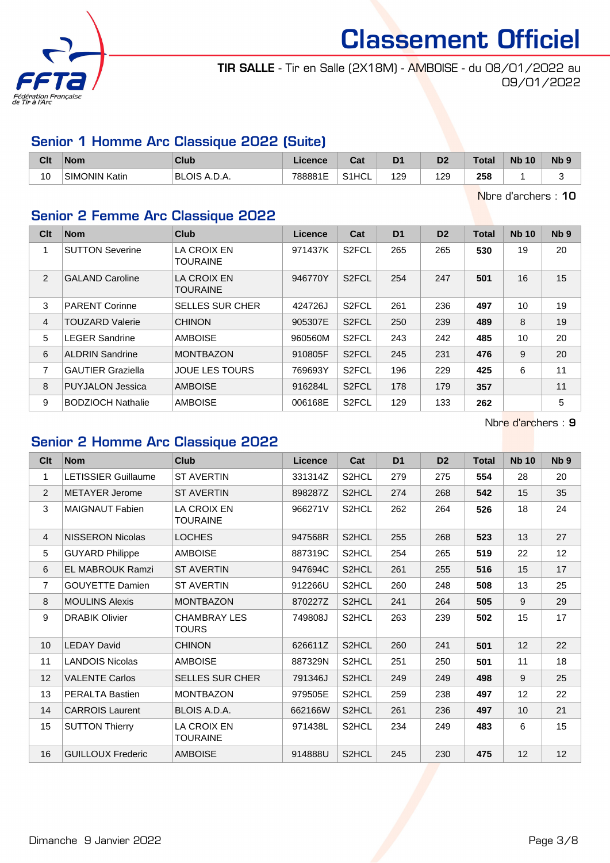

TIR SALLE - Tir en Salle (2X18M) - AMBOISE - du 08/01/2022 au 09/01/2022

#### Senior 1 Homme Arc Classique 2022 (Suite)

| Clt                  | <b>Nom</b>           | <b>Club</b>  | cence   | $P - 1$<br>sal | D <sub>1</sub> | D <sub>2</sub> | <b>Total</b> | <b>N<sub>b</sub></b><br>10 | <b>Nb</b> |
|----------------------|----------------------|--------------|---------|----------------|----------------|----------------|--------------|----------------------------|-----------|
| 10 <sup>1</sup><br>◟ | <b>SIMONIN Katin</b> | BLOIS A.D.A. | 788881E | S1HCL          | 129            | 129            | 258          |                            |           |

Nbre d'archers : 10

## Senior 2 Femme Arc Classique 2022

| Clt            | <b>Nom</b>               | <b>Club</b>                           | Licence | Cat                | D <sub>1</sub> | D <sub>2</sub> | <b>Total</b> | <b>Nb 10</b> | N <sub>b</sub> <sub>9</sub> |
|----------------|--------------------------|---------------------------------------|---------|--------------------|----------------|----------------|--------------|--------------|-----------------------------|
|                | <b>SUTTON Severine</b>   | LA CROIX EN<br><b>TOURAINE</b>        | 971437K | S <sub>2</sub> FCL | 265            | 265            | 530          | 19           | 20                          |
| 2              | <b>GALAND Caroline</b>   | <b>LA CROIX EN</b><br><b>TOURAINE</b> | 946770Y | S <sub>2</sub> FCL | 254            | 247            | 501          | 16           | 15                          |
| 3              | <b>PARENT Corinne</b>    | <b>SELLES SUR CHER</b>                | 424726J | S <sub>2</sub> FCL | 261            | 236            | 497          | 10           | 19                          |
| $\overline{4}$ | <b>TOUZARD Valerie</b>   | <b>CHINON</b>                         | 905307E | S <sub>2</sub> FCL | 250            | 239            | 489          | 8            | 19                          |
| 5              | <b>LEGER Sandrine</b>    | <b>AMBOISE</b>                        | 960560M | S <sub>2</sub> FCL | 243            | 242            | 485          | 10           | 20                          |
| 6              | <b>ALDRIN Sandrine</b>   | <b>MONTBAZON</b>                      | 910805F | S <sub>2</sub> FCL | 245            | 231            | 476          | 9            | 20                          |
| 7              | <b>GAUTIER Graziella</b> | <b>JOUE LES TOURS</b>                 | 769693Y | S <sub>2</sub> FCL | 196            | 229            | 425          | 6            | 11                          |
| 8              | <b>PUYJALON Jessica</b>  | <b>AMBOISE</b>                        | 916284L | S <sub>2</sub> FCL | 178            | 179            | 357          |              | 11                          |
| 9              | <b>BODZIOCH Nathalie</b> | <b>AMBOISE</b>                        | 006168E | S <sub>2</sub> FCL | 129            | 133            | 262          |              | 5                           |

Nbre d'archers : 9

#### Senior 2 Homme Arc Classique 2022

| Clt             | <b>Nom</b>                 | Club                           | Licence | Cat                | D <sub>1</sub> | D <sub>2</sub> | <b>Total</b> | <b>Nb 10</b> | N <sub>b</sub> <sub>9</sub> |
|-----------------|----------------------------|--------------------------------|---------|--------------------|----------------|----------------|--------------|--------------|-----------------------------|
| 1               | <b>LETISSIER Guillaume</b> | <b>ST AVERTIN</b>              | 331314Z | S2HCL              | 279            | 275            | 554          | 28           | 20                          |
| $\overline{2}$  | <b>METAYER Jerome</b>      | <b>ST AVERTIN</b>              | 898287Z | S2HCL              | 274            | 268            | 542          | 15           | 35                          |
| 3               | <b>MAIGNAUT Fabien</b>     | <b>LA CROIX EN</b><br>TOURAINE | 966271V | S2HCL              | 262            | 264            | 526          | 18           | 24                          |
| $\overline{4}$  | <b>NISSERON Nicolas</b>    | <b>LOCHES</b>                  | 947568R | S2HCL              | 255            | 268            | 523          | 13           | 27                          |
| 5               | <b>GUYARD Philippe</b>     | AMBOISE                        | 887319C | S <sub>2</sub> HCL | 254            | 265            | 519          | 22           | $12 \overline{ }$           |
| 6               | <b>EL MABROUK Ramzi</b>    | <b>ST AVERTIN</b>              | 947694C | S <sub>2</sub> HCL | 261            | 255            | 516          | 15           | 17                          |
| $\overline{7}$  | <b>GOUYETTE Damien</b>     | <b>ST AVERTIN</b>              | 912266U | S <sub>2</sub> HCL | 260            | 248            | 508          | 13           | 25                          |
| 8               | <b>MOULINS Alexis</b>      | <b>MONTBAZON</b>               | 870227Z | S2HCL              | 241            | 264            | 505          | 9            | 29                          |
| 9               | <b>DRABIK Olivier</b>      | <b>CHAMBRAY LES</b><br>TOURS   | 749808J | S2HCL              | 263            | 239            | 502          | 15           | 17                          |
| 10 <sup>°</sup> | <b>LEDAY David</b>         | <b>CHINON</b>                  | 626611Z | S2HCL              | 260            | 241            | 501          | 12           | 22                          |
| 11              | <b>LANDOIS Nicolas</b>     | <b>AMBOISE</b>                 | 887329N | S <sub>2</sub> HCL | 251            | 250            | 501          | 11           | 18                          |
| 12              | <b>VALENTE Carlos</b>      | <b>SELLES SUR CHER</b>         | 791346J | S <sub>2</sub> HCL | 249            | 249            | 498          | 9            | 25                          |
| 13              | <b>PERALTA Bastien</b>     | <b>MONTBAZON</b>               | 979505E | S2HCL              | 259            | 238            | 497          | 12           | 22                          |
| 14              | <b>CARROIS Laurent</b>     | <b>BLOIS A.D.A.</b>            | 662166W | S2HCL              | 261            | 236            | 497          | 10           | 21                          |
| 15              | <b>SUTTON Thierry</b>      | LA CROIX EN<br>TOURAINE        | 971438L | S2HCL              | 234            | 249            | 483          | 6            | 15                          |
| 16              | <b>GUILLOUX Frederic</b>   | <b>AMBOISE</b>                 | 914888U | S2HCL              | 245            | 230            | 475          | 12           | 12                          |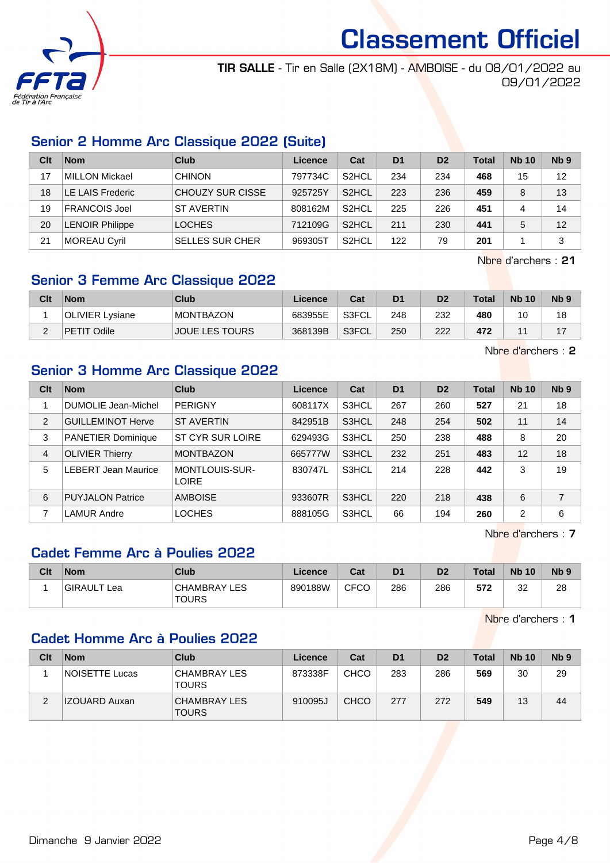

TIR SALLE - Tir en Salle (2X18M) - AMBOISE - du 08/01/2022 au 09/01/2022

#### Senior 2 Homme Arc Classique 2022 (Suite)

| Clt | <b>Nom</b>            | <b>Club</b>             | Licence | Cat                | D <sub>1</sub> | D <sub>2</sub> | <b>Total</b> | <b>Nb 10</b> | N <sub>b</sub> <sub>9</sub> |
|-----|-----------------------|-------------------------|---------|--------------------|----------------|----------------|--------------|--------------|-----------------------------|
| 17  | MILLON Mickael        | <b>CHINON</b>           | 797734C | S <sub>2</sub> HCL | 234            | 234            | 468          | 15           | 12                          |
| 18  | LE LAIS Frederic      | <b>CHOUZY SUR CISSE</b> | 925725Y | S <sub>2</sub> HCL | 223            | 236            | 459          | 8            | 13                          |
| 19  | <b>FRANCOIS Joel</b>  | <b>ST AVERTIN</b>       | 808162M | S <sub>2</sub> HCL | 225            | 226            | 451          | 4            | 14                          |
| 20  | <b>ENOIR Philippe</b> | <b>LOCHES</b>           | 712109G | S <sub>2</sub> HCL | 211            | 230            | 441          | 5            | 12                          |
| 21  | MOREAU Cyril          | <b>SELLES SUR CHER</b>  | 969305T | S <sub>2</sub> HCL | 122            | 79             | 201          |              | 3                           |

Nbre d'archers : 21

### Senior 3 Femme Arc Classique 2022

| Clt | <b>Nom</b>      | Club                  | Licence | Cat   | D <sub>1</sub> | D2  | <b>Total</b> | <b>Nb 10</b> | N <sub>b</sub> <sub>9</sub> |
|-----|-----------------|-----------------------|---------|-------|----------------|-----|--------------|--------------|-----------------------------|
|     | OLIVIER Lvsiane | <b>MONTBAZON</b>      | 683955E | S3FCL | 248            | 232 | 480          | 10           | 18                          |
|     | PETIT Odile     | <b>JOUE LES TOURS</b> | 368139B | S3FCL | 250            | 222 | 472          |              |                             |

Nbre d'archers : 2

#### Senior 3 Homme Arc Classique 2022

| Clt | <b>Nom</b>                 | Club                                  | Licence | Cat   | D <sub>1</sub> | D <sub>2</sub> | <b>Total</b> | <b>Nb 10</b>   | Nb <sub>9</sub> |
|-----|----------------------------|---------------------------------------|---------|-------|----------------|----------------|--------------|----------------|-----------------|
|     | DUMOLIE Jean-Michel        | <b>PERIGNY</b>                        | 608117X | S3HCL | 267            | 260            | 527          | 21             | 18              |
| 2   | <b>GUILLEMINOT Herve</b>   | <b>ST AVERTIN</b>                     | 842951B | S3HCL | 248            | 254            | 502          | 11             | 14              |
| 3   | <b>PANETIER Dominique</b>  | ST CYR SUR LOIRE                      | 629493G | S3HCL | 250            | 238            | 488          | 8              | 20              |
| 4   | <b>OLIVIER Thierry</b>     | <b>MONTBAZON</b>                      | 665777W | S3HCL | 232            | 251            | 483          | 12             | 18              |
| 5   | <b>LEBERT Jean Maurice</b> | <b>MONTLOUIS-SUR-</b><br><b>LOIRE</b> | 830747L | S3HCL | 214            | 228            | 442          | 3              | 19              |
| 6   | <b>PUYJALON Patrice</b>    | <b>AMBOISE</b>                        | 933607R | S3HCL | 220            | 218            | 438          | 6              | $\overline{7}$  |
| 7   | <b>LAMUR Andre</b>         | <b>LOCHES</b>                         | 888105G | S3HCL | 66             | 194            | 260          | $\overline{2}$ | 6               |

Nbre d'archers : 7

#### Cadet Femme Arc à Poulies 2022

| Clt | <b>Nom</b>  | Club                                | Licence | Cat         | D1  | D <sub>2</sub> | <b>Total</b> | <b>Nb 10</b> | N <sub>b</sub> <sub>9</sub> |
|-----|-------------|-------------------------------------|---------|-------------|-----|----------------|--------------|--------------|-----------------------------|
|     | GIRAULT Lea | <b>CHAMBRAY LES</b><br><b>TOURS</b> | 890188W | <b>CFCO</b> | 286 | 286            | 572          | າາ<br>ےں     | 28                          |

Nbre d'archers : 1

#### Cadet Homme Arc à Poulies 2022

| Clt | <b>Nom</b>     | Club                                | Licence | Cat         | D <sub>1</sub> | D <sub>2</sub> | <b>Total</b> | <b>Nb 10</b> | Nb <sub>9</sub> |
|-----|----------------|-------------------------------------|---------|-------------|----------------|----------------|--------------|--------------|-----------------|
|     | NOISETTE Lucas | <b>CHAMBRAY LES</b><br><b>TOURS</b> | 873338F | <b>CHCO</b> | 283            | 286            | 569          | 30           | 29              |
| ົ   | IZOUARD Auxan  | CHAMBRAY LES<br><b>TOURS</b>        | 910095J | <b>CHCO</b> | 277            | 272            | 549          | 13           | 44              |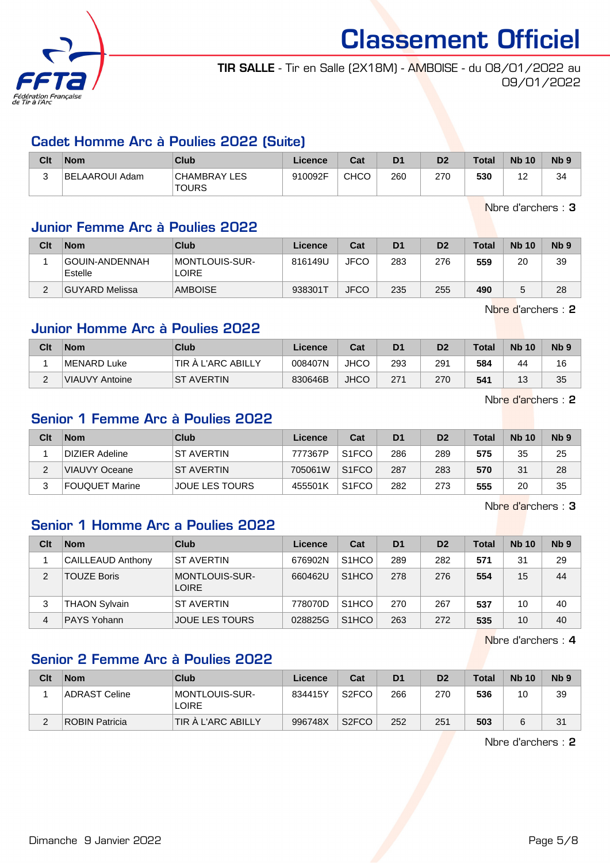

TIR SALLE - Tir en Salle (2X18M) - AMBOISE - du 08/01/2022 au 09/01/2022

#### Cadet Homme Arc à Poulies 2022 (Suite)

| Clt | <b>Nom</b>     | Club                         | Licence | Cat  | D <sub>1</sub> | D <sub>2</sub> | <b>Total</b> | <b>Nb 10</b>  | <b>N<sub>b</sub></b> |
|-----|----------------|------------------------------|---------|------|----------------|----------------|--------------|---------------|----------------------|
|     | BELAAROUI Adam | CHAMBRAY LES<br><b>TOURS</b> | 910092F | CHCO | 260            | 270            | 530          | <u>"</u><br>- | 34                   |

Nbre d'archers : 3

#### Junior Femme Arc à Poulies 2022

| Clt | <b>Nom</b>                | Club                           | Licence | Cat         | D <sub>1</sub> | D <sub>2</sub> | <b>Total</b> | <b>Nb 10</b> | N <sub>b</sub> <sub>9</sub> |
|-----|---------------------------|--------------------------------|---------|-------------|----------------|----------------|--------------|--------------|-----------------------------|
|     | GOUIN-ANDENNAH<br>Estelle | MONTLOUIS-SUR-<br><b>LOIRE</b> | 816149U | <b>JFCO</b> | 283            | 276            | 559          | 20           | 39                          |
| ◠   | GUYARD Melissa            | <b>AMBOISE</b>                 | 938301T | <b>JFCO</b> | 235            | 255            | 490          |              | 28                          |

Nbre d'archers : 2

#### Junior Homme Arc à Poulies 2022

| Clt    | <b>Nom</b>     | Club               | Licence | Cat         | D <sub>1</sub> | D <sub>2</sub> | <b>Total</b> | <b>Nb 10</b> | N <sub>b</sub> <sub>9</sub> |
|--------|----------------|--------------------|---------|-------------|----------------|----------------|--------------|--------------|-----------------------------|
|        | MENARD Luke    | TIR A L'ARC ABILLY | 008407N | <b>JHCO</b> | 293            | 291            | 584          | 44           | 16                          |
| $\sim$ | VIAUVY Antoine | <b>ST AVERTIN</b>  | 830646B | <b>JHCO</b> | 271            | 270            | 541          | 17<br>ل ا    | 35                          |

Nbre d'archers : 2

#### Senior 1 Femme Arc à Poulies 2022

| Clt | <b>Nom</b>     | Club                  | Licence | Cat                | D <sub>1</sub> | D <sub>2</sub> | <b>Total</b> | <b>Nb 10</b> | N <sub>b</sub> <sub>9</sub> |
|-----|----------------|-----------------------|---------|--------------------|----------------|----------------|--------------|--------------|-----------------------------|
|     | DIZIER Adeline | <b>ST AVERTIN</b>     | 777367P | S <sub>1</sub> FCO | 286            | 289            | 575          | 35           | 25                          |
|     | VIAUVY Oceane  | <b>ST AVERTIN</b>     | 705061W | S <sub>1</sub> FCO | 287            | 283            | 570          | 31           | 28                          |
|     | FOUQUET Marine | <b>JOUE LES TOURS</b> | 455501K | S <sub>1</sub> FCO | 282            | 273            | 555          | 20           | 35                          |

Nbre d'archers : 3

#### Senior 1 Homme Arc a Poulies 2022

| Clt | <b>Nom</b>               | Club                                  | Licence | Cat                | D <sub>1</sub> | D <sub>2</sub> | Total | <b>Nb 10</b> | Nb <sub>9</sub> |
|-----|--------------------------|---------------------------------------|---------|--------------------|----------------|----------------|-------|--------------|-----------------|
|     | <b>CAILLEAUD Anthony</b> | ST AVERTIN                            | 676902N | S <sub>1</sub> HCO | 289            | 282            | 571   | 31           | 29              |
|     | <b>TOUZE Boris</b>       | <b>MONTLOUIS-SUR-</b><br><b>LOIRE</b> | 660462U | S <sub>1</sub> HCO | 278            | 276            | 554   | 15           | 44              |
| 3   | <b>THAON Sylvain</b>     | ST AVERTIN                            | 778070D | S <sub>1</sub> HCO | 270            | 267            | 537   | 10           | 40              |
| 4   | <b>PAYS Yohann</b>       | <b>JOUE LES TOURS</b>                 | 028825G | S <sub>1</sub> HCO | 263            | 272            | 535   | 10           | 40              |

Nbre d'archers : 4

#### Senior 2 Femme Arc à Poulies 2022

| Clt | <b>Nom</b>     | Club                           | Licence | Cat                | D <sub>1</sub> | D <sub>2</sub> | <b>Total</b> | <b>Nb 10</b> | N <sub>b</sub> <sub>9</sub> |
|-----|----------------|--------------------------------|---------|--------------------|----------------|----------------|--------------|--------------|-----------------------------|
|     | ADRAST Celine  | MONTLOUIS-SUR-<br><b>LOIRE</b> | 834415Y | S <sub>2</sub> FCO | 266            | 270            | 536          | 10           | 39                          |
|     | ROBIN Patricia | TIR A L'ARC ABILLY             | 996748X | S <sub>2</sub> FCO | 252            | 251            | 503          | 6            | 31                          |

Nbre d'archers : 2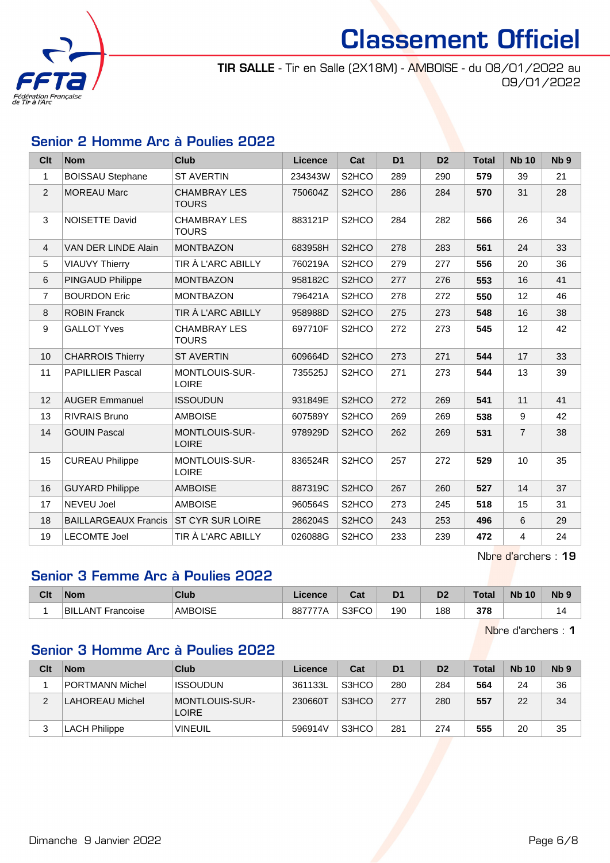

TIR SALLE - Tir en Salle (2X18M) - AMBOISE - du 08/01/2022 au 09/01/2022

#### Senior 2 Homme Arc à Poulies 2022

| <b>Clt</b>     | <b>Nom</b>                  | <b>Club</b>                         | <b>Licence</b> | Cat                | D <sub>1</sub> | D <sub>2</sub> | <b>Total</b> | <b>Nb 10</b>   | Nb <sub>9</sub> |
|----------------|-----------------------------|-------------------------------------|----------------|--------------------|----------------|----------------|--------------|----------------|-----------------|
| 1              | <b>BOISSAU Stephane</b>     | <b>ST AVERTIN</b>                   | 234343W        | S <sub>2</sub> HCO | 289            | 290            | 579          | 39             | 21              |
| $\overline{2}$ | <b>MOREAU Marc</b>          | <b>CHAMBRAY LES</b><br><b>TOURS</b> | 750604Z        | S <sub>2</sub> HCO | 286            | 284            | 570          | 31             | 28              |
| $\mathfrak{S}$ | NOISETTE David              | <b>CHAMBRAY LES</b><br><b>TOURS</b> | 883121P        | S2HCO              | 284            | 282            | 566          | 26             | 34              |
| $\overline{4}$ | VAN DER LINDE Alain         | <b>MONTBAZON</b>                    | 683958H        | S <sub>2</sub> HCO | 278            | 283            | 561          | 24             | 33              |
| 5              | <b>VIAUVY Thierry</b>       | TIR À L'ARC ABILLY                  | 760219A        | S <sub>2</sub> HCO | 279            | 277            | 556          | 20             | 36              |
| 6              | PINGAUD Philippe            | <b>MONTBAZON</b>                    | 958182C        | S2HCO              | 277            | 276            | 553          | 16             | 41              |
| 7              | <b>BOURDON Eric</b>         | <b>MONTBAZON</b>                    | 796421A        | S <sub>2</sub> HCO | 278            | 272            | 550          | 12             | 46              |
| 8              | <b>ROBIN Franck</b>         | TIR À L'ARC ABILLY                  | 958988D        | S2HCO              | 275            | 273            | 548          | 16             | 38              |
| 9              | <b>GALLOT Yves</b>          | <b>CHAMBRAY LES</b><br><b>TOURS</b> | 697710F        | S <sub>2</sub> HCO | 272            | 273            | 545          | 12             | 42              |
| 10             | <b>CHARROIS Thierry</b>     | <b>ST AVERTIN</b>                   | 609664D        | S <sub>2</sub> HCO | 273            | 271            | 544          | 17             | 33              |
| 11             | <b>PAPILLIER Pascal</b>     | MONTLOUIS-SUR-<br><b>LOIRE</b>      | 735525J        | S2HCO              | 271            | 273            | 544          | 13             | 39              |
| 12             | <b>AUGER Emmanuel</b>       | <b>ISSOUDUN</b>                     | 931849E        | S2HCO              | 272            | 269            | 541          | 11             | 41              |
| 13             | <b>RIVRAIS Bruno</b>        | <b>AMBOISE</b>                      | 607589Y        | S <sub>2</sub> HCO | 269            | 269            | 538          | 9              | 42              |
| 14             | <b>GOUIN Pascal</b>         | MONTLOUIS-SUR-<br><b>LOIRE</b>      | 978929D        | S2HCO              | 262            | 269            | 531          | $\overline{7}$ | 38              |
| 15             | <b>CUREAU Philippe</b>      | MONTLOUIS-SUR-<br><b>LOIRE</b>      | 836524R        | S2HCO              | 257            | 272            | 529          | 10             | 35              |
| 16             | <b>GUYARD Philippe</b>      | <b>AMBOISE</b>                      | 887319C        | S <sub>2</sub> HCO | 267            | 260            | 527          | 14             | 37              |
| 17             | <b>NEVEU Joel</b>           | <b>AMBOISE</b>                      | 960564S        | S <sub>2</sub> HCO | 273            | 245            | 518          | 15             | 31              |
| 18             | <b>BAILLARGEAUX Francis</b> | <b>ST CYR SUR LOIRE</b>             | 286204S        | S <sub>2</sub> HCO | 243            | 253            | 496          | 6              | 29              |
| 19             | <b>LECOMTE Joel</b>         | TIR À L'ARC ABILLY                  | 026088G        | S <sub>2</sub> HCO | 233            | 239            | 472          | 4              | 24              |

Nbre d'archers : 19

#### Senior 3 Femme Arc à Poulies 2022

| Clt | <b>Nom</b>              | Club           | Licence        | Cat                       | D <sub>1</sub> | D <sub>2</sub> | Total | <b>N<sub>b</sub></b><br>10 | N <sub>b</sub> <sub>9</sub> |
|-----|-------------------------|----------------|----------------|---------------------------|----------------|----------------|-------|----------------------------|-----------------------------|
|     | 'BILi<br>_ANT Francoise | <b>AMBOISE</b> | 887777A<br>1 N | <b>SSECO</b><br>°∪<br>וטט | 190            | 188            | 378   |                            |                             |

Nbre d'archers : 1

#### Senior 3 Homme Arc à Poulies 2022

| Clt | <b>Nom</b>           | Club                                  | Licence | Cat   | D <sub>1</sub> | D <sub>2</sub> | <b>Total</b> | <b>Nb 10</b> | N <sub>b</sub> <sub>9</sub> |
|-----|----------------------|---------------------------------------|---------|-------|----------------|----------------|--------------|--------------|-----------------------------|
|     | PORTMANN Michel      | <b>ISSOUDUN</b>                       | 361133L | S3HCO | 280            | 284            | 564          | 24           | 36                          |
| ◠   | LAHOREAU Michel      | <b>MONTLOUIS-SUR-</b><br><b>LOIRE</b> | 230660T | S3HCO | 277            | 280            | 557          | 22           | 34                          |
| 3   | <b>LACH Philippe</b> | <b>VINEUIL</b>                        | 596914V | S3HCO | 281            | 274            | 555          | 20           | 35                          |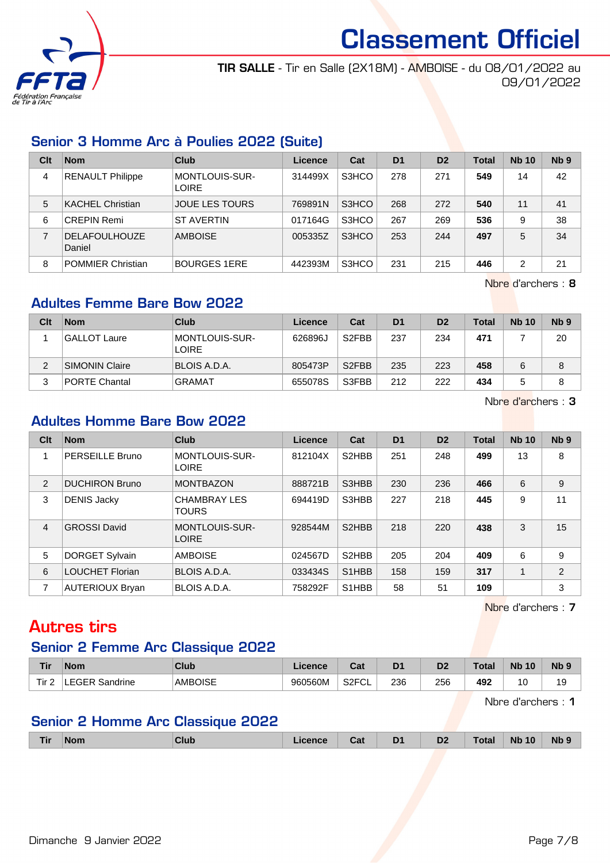

TIR SALLE - Tir en Salle (2X18M) - AMBOISE - du 08/01/2022 au 09/01/2022

#### Senior 3 Homme Arc à Poulies 2022 (Suite)

| Clt | <b>Nom</b>                     | Club                           | Licence | Cat   | D <sub>1</sub> | D <sub>2</sub> | <b>Total</b> | <b>Nb 10</b> | N <sub>b</sub> <sub>9</sub> |
|-----|--------------------------------|--------------------------------|---------|-------|----------------|----------------|--------------|--------------|-----------------------------|
| 4   | <b>RENAULT Philippe</b>        | MONTLOUIS-SUR-<br><b>LOIRE</b> | 314499X | S3HCO | 278            | 271            | 549          | 14           | 42                          |
| 5   | <b>KACHEL Christian</b>        | <b>JOUE LES TOURS</b>          | 769891N | S3HCO | 268            | 272            | 540          | 11           | 41                          |
| 6   | <b>CREPIN Remi</b>             | <b>ST AVERTIN</b>              | 017164G | S3HCO | 267            | 269            | 536          | 9            | 38                          |
| 7   | <b>DELAFOULHOUZE</b><br>Daniel | <b>AMBOISE</b>                 | 005335Z | S3HCO | 253            | 244            | 497          | 5            | 34                          |
| 8   | <b>POMMIER Christian</b>       | <b>BOURGES 1ERE</b>            | 442393M | S3HCO | 231            | 215            | 446          | 2            | 21                          |

Nbre d'archers : 8

#### Adultes Femme Bare Bow 2022

| Clt | <b>Nom</b>            | Club                           | Licence | Cat                | D <sub>1</sub> | D <sub>2</sub> | <b>Total</b> | <b>Nb 10</b> | Nb <sub>9</sub> |
|-----|-----------------------|--------------------------------|---------|--------------------|----------------|----------------|--------------|--------------|-----------------|
|     | <b>GALLOT Laure</b>   | MONTLOUIS-SUR-<br><b>LOIRE</b> | 626896J | S <sub>2</sub> FBB | 237            | 234            | 471          |              | 20              |
|     | <b>SIMONIN Claire</b> | BLOIS A.D.A.                   | 805473P | S <sub>2</sub> FBB | 235            | 223            | 458          |              | 8               |
| 3   | <b>PORTE Chantal</b>  | <b>GRAMAT</b>                  | 655078S | S3FBB              | 212            | 222            | 434          |              | 8               |

Nbre d'archers : 3

#### Adultes Homme Bare Bow 2022

| Clt            | <b>Nom</b>             | Club                                | Licence | Cat                             | D <sub>1</sub> | D <sub>2</sub> | <b>Total</b> | <b>Nb 10</b> | Nb <sub>9</sub> |
|----------------|------------------------|-------------------------------------|---------|---------------------------------|----------------|----------------|--------------|--------------|-----------------|
|                | PERSEILLE Bruno        | MONTLOUIS-SUR-<br><b>LOIRE</b>      | 812104X | S <sub>2</sub> HBB              | 251            | 248            | 499          | 13           | 8               |
| 2              | <b>DUCHIRON Bruno</b>  | <b>MONTBAZON</b>                    | 888721B | S3HBB                           | 230            | 236            | 466          | 6            | 9               |
| 3              | <b>DENIS Jacky</b>     | <b>CHAMBRAY LES</b><br><b>TOURS</b> | 694419D | S3HBB                           | 227            | 218            | 445          | 9            | 11              |
| $\overline{4}$ | <b>GROSSI</b> David    | MONTLOUIS-SUR-<br><b>LOIRE</b>      | 928544M | S <sub>2</sub> H <sub>BB</sub>  | 218            | 220            | 438          | 3            | 15              |
| 5              | <b>DORGET Sylvain</b>  | <b>AMBOISE</b>                      | 024567D | S <sub>2</sub> HBB              | 205            | 204            | 409          | 6            | 9               |
| 6              | <b>LOUCHET Florian</b> | BLOIS A.D.A.                        | 033434S | S <sub>1</sub> H <sub>BB</sub>  | 158            | 159            | 317          |              | $\overline{2}$  |
| 7              | AUTERIOUX Bryan        | <b>BLOIS A.D.A.</b>                 | 758292F | S <sub>1</sub> H <sub>B</sub> B | 58             | 51             | 109          |              | 3               |

Nbre d'archers : 7

## Autres tirs

#### Senior 2 Femme Arc Classique 2022

| <b>Tir</b> | <b>Nom</b>                   | <b>Club</b>    | <b>Ticence</b> | <b>Date</b><br>uα  | D1  | Dź  | <b>Total</b> | <b>N<sub>k</sub></b><br>10 | Nb <sub>9</sub> |
|------------|------------------------------|----------------|----------------|--------------------|-----|-----|--------------|----------------------------|-----------------|
| Tir.       | -EGER $^{\circ}$<br>Sandrine | <b>AMBOISE</b> | 960560M        | S <sub>2</sub> FCL | 236 | 256 | 492          | ຳ<br>ັ                     | 19              |

Nbre d'archers : 1

#### Senior 2 Homme Arc Classique 2022

| Tir | <b>Nom</b> | <b>Club</b> | псе | - -<br>ual | $\nabla$ 1 | D <sub>2</sub> | <b>Total</b> | 10<br><b>Nb</b> | Nb 9 |
|-----|------------|-------------|-----|------------|------------|----------------|--------------|-----------------|------|
|     |            |             |     |            |            |                |              |                 |      |